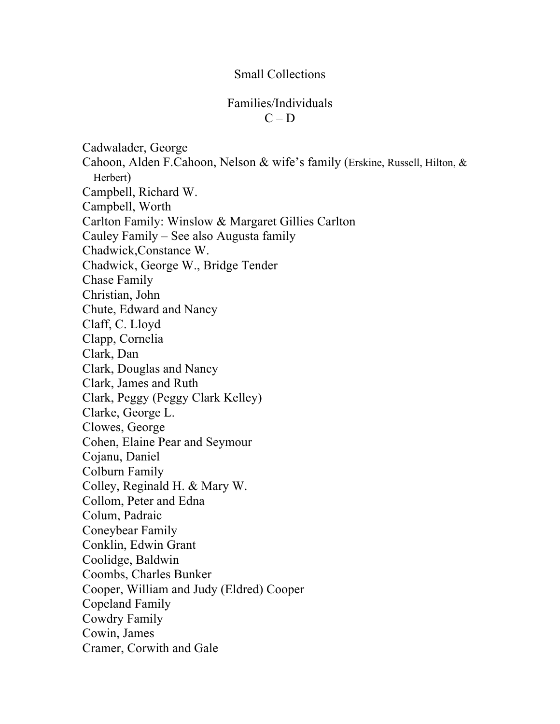## Small Collections

## Families/Individuals  $C - D$

Cadwalader, George Cahoon, Alden F.Cahoon, Nelson & wife's family (Erskine, Russell, Hilton, & Herbert) Campbell, Richard W. Campbell, Worth Carlton Family: Winslow & Margaret Gillies Carlton Cauley Family – See also Augusta family Chadwick,Constance W. Chadwick, George W., Bridge Tender Chase Family Christian, John Chute, Edward and Nancy Claff, C. Lloyd Clapp, Cornelia Clark, Dan Clark, Douglas and Nancy Clark, James and Ruth Clark, Peggy (Peggy Clark Kelley) Clarke, George L. Clowes, George Cohen, Elaine Pear and Seymour Cojanu, Daniel Colburn Family Colley, Reginald H. & Mary W. Collom, Peter and Edna Colum, Padraic Coneybear Family Conklin, Edwin Grant Coolidge, Baldwin Coombs, Charles Bunker Cooper, William and Judy (Eldred) Cooper Copeland Family Cowdry Family Cowin, James Cramer, Corwith and Gale